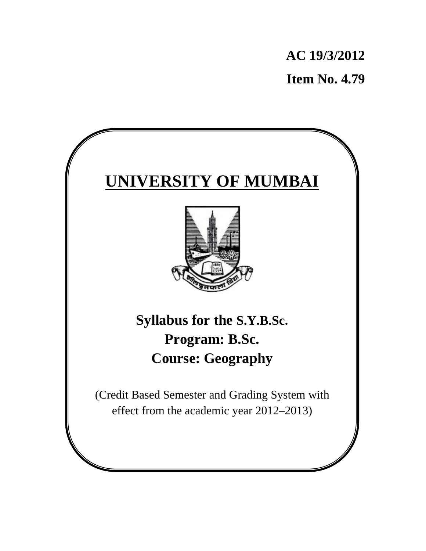**AC 19/3/2012 Item No. 4.79**

# **UNIVERSITY OF MUMBAI**



**Syllabus for the S.Y.B.Sc. Program: B.Sc. Course: Geography** 

(Credit Based Semester and Grading System with effect from the academic year 2012–2013)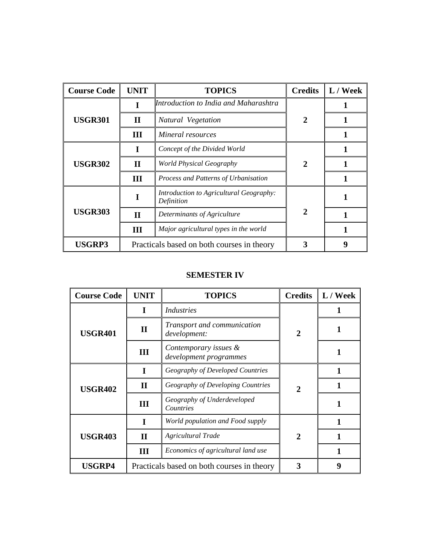| <b>Course Code</b> | <b>UNIT</b>                                | <b>TOPICS</b>                                         | <b>Credits</b> | L / Week |
|--------------------|--------------------------------------------|-------------------------------------------------------|----------------|----------|
| <b>USGR301</b>     | I                                          | Introduction to India and Maharashtra                 | $\mathbf{2}$   |          |
|                    | $\mathbf H$                                | Natural Vegetation                                    |                |          |
|                    | Ш                                          | Mineral resources                                     |                |          |
| <b>USGR302</b>     |                                            | Concept of the Divided World                          | $\mathbf{2}$   |          |
|                    | $\mathbf{I}$                               | World Physical Geography                              |                |          |
|                    | Ш                                          | Process and Patterns of Urbanisation                  |                |          |
| <b>USGR303</b>     |                                            | Introduction to Agricultural Geography:<br>Definition | 2              |          |
|                    | $\mathbf{I}$                               | Determinants of Agriculture                           |                |          |
|                    | Ш                                          | Major agricultural types in the world                 |                |          |
| <b>USGRP3</b>      | Practicals based on both courses in theory |                                                       |                | Q        |

# **SEMESTER IV**

| <b>Course Code</b> | <b>UNIT</b>                                | <b>TOPICS</b>                                   | <b>Credits</b>        | L / Week |
|--------------------|--------------------------------------------|-------------------------------------------------|-----------------------|----------|
| <b>USGR401</b>     | T                                          | <i>Industries</i>                               | 2                     |          |
|                    | $\mathbf{I}$                               | Transport and communication<br>development:     |                       |          |
|                    | Ш                                          | Contemporary issues &<br>development programmes |                       |          |
| <b>USGR402</b>     |                                            | Geography of Developed Countries                | $\mathcal{D}_{\cdot}$ |          |
|                    | $\mathbf H$                                | Geography of Developing Countries               |                       |          |
|                    | Ш                                          | Geography of Underdeveloped<br>Countries        |                       |          |
| <b>USGR403</b>     |                                            | World population and Food supply                | $\mathbf 2$           |          |
|                    | $\mathbf H$                                | <b>Agricultural Trade</b>                       |                       |          |
|                    | Ш                                          | Economics of agricultural land use              |                       |          |
| <b>USGRP4</b>      | Practicals based on both courses in theory |                                                 |                       | 9        |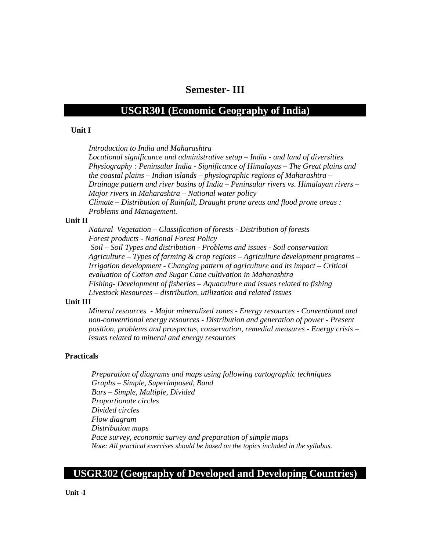# **Semester- III**

# **USGR301 (Economic Geography of India)**

## **Unit I**

*Introduction to India and Maharashtra* 

*Locational significance and administrative setup – India - and land of diversities Physiography : Peninsular India - Significance of Himalayas – The Great plains and the coastal plains – Indian islands – physiographic regions of Maharashtra – Drainage pattern and river basins of India – Peninsular rivers vs. Himalayan rivers – Major rivers in Maharashtra – National water policy Climate – Distribution of Rainfall, Draught prone areas and flood prone areas :* 

*Problems and Management.* 

# **Unit II**

*Natural Vegetation – Classification of forests - Distribution of forests Forest products - National Forest Policy Soil – Soil Types and distribution - Problems and issues - Soil conservation Agriculture – Types of farming & crop regions – Agriculture development programs – Irrigation development - Changing pattern of agriculture and its impact – Critical evaluation of Cotton and Sugar Cane cultivation in Maharashtra Fishing- Development of fisheries – Aquaculture and issues related to fishing Livestock Resources – distribution, utilization and related issues* 

# **Unit III**

*Mineral resources - Major mineralized zones - Energy resources - Conventional and non-conventional energy resources - Distribution and generation of power - Present position, problems and prospectus, conservation, remedial measures - Energy crisis – issues related to mineral and energy resources* 

# **Practicals**

*Preparation of diagrams and maps using following cartographic techniques Graphs – Simple, Superimposed, Band Bars – Simple, Multiple, Divided Proportionate circles Divided circles Flow diagram Distribution maps Pace survey, economic survey and preparation of simple maps Note: All practical exercises should be based on the topics included in the syllabus.* 

# **USGR302 (Geography of Developed and Developing Countries)**

**Unit -I**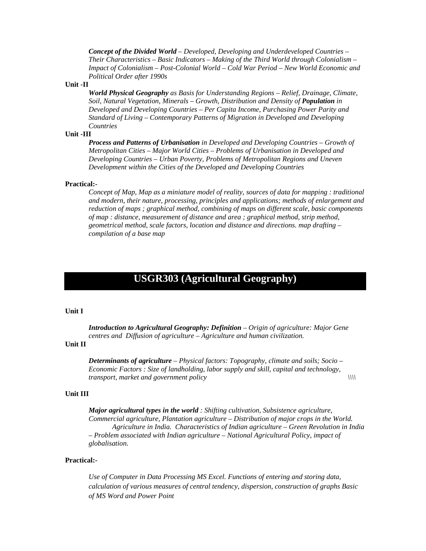*Concept of the Divided World – Developed, Developing and Underdeveloped Countries – Their Characteristics – Basic Indicators – Making of the Third World through Colonialism – Impact of Colonialism – Post-Colonial World – Cold War Period – New World Economic and Political Order after 1990s* 

#### **Unit -II**

*World Physical Geography as Basis for Understanding Regions – Relief, Drainage, Climate, Soil, Natural Vegetation, Minerals – Growth, Distribution and Density of Population in Developed and Developing Countries – Per Capita Income, Purchasing Power Parity and Standard of Living – Contemporary Patterns of Migration in Developed and Developing Countries* 

## **Unit -III**

*Process and Patterns of Urbanisation in Developed and Developing Countries – Growth of Metropolitan Cities – Major World Cities – Problems of Urbanisation in Developed and Developing Countries – Urban Poverty, Problems of Metropolitan Regions and Uneven Development within the Cities of the Developed and Developing Countries* 

#### **Practical:-**

*Concept of Map, Map as a miniature model of reality, sources of data for mapping : traditional and modern, their nature, processing, principles and applications; methods of enlargement and reduction of maps ; graphical method, combining of maps on different scale, basic components of map : distance, measurement of distance and area ; graphical method, strip method, geometrical method, scale factors, location and distance and directions. map drafting – compilation of a base map*

# **USGR303 (Agricultural Geography)**

#### **Unit I**

*Introduction to Agricultural Geography: Definition – Origin of agriculture: Major Gene centres and Diffusion of agriculture – Agriculture and human civilization.*

# **Unit II**

*Determinants of agriculture – Physical factors: Topography, climate and soils; Socio – Economic Factors : Size of landholding, labor supply and skill, capital and technology, transport, market and government policy*  $\|\|\|$ 

#### **Unit III**

*Major agricultural types in the world : Shifting cultivation, Subsistence agriculture, Commercial agriculture, Plantation agriculture – Distribution of major crops in the World. Agriculture in India. Characteristics of Indian agriculture – Green Revolution in India – Problem associated with Indian agriculture – National Agricultural Policy, impact of globalisation.* 

#### **Practical:-**

*Use of Computer in Data Processing MS Excel. Functions of entering and storing data, calculation of various measures of central tendency, dispersion, construction of graphs Basic of MS Word and Power Point*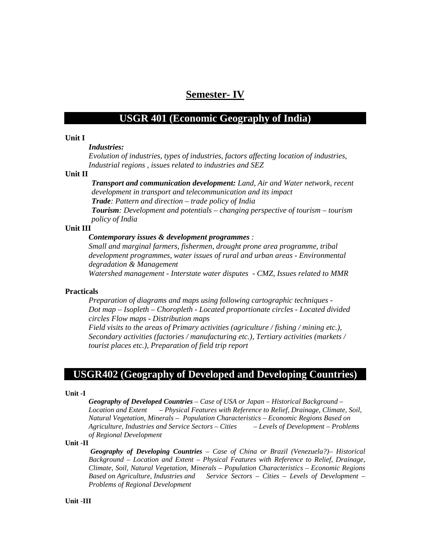# **Semester- IV**

# **USGR 401 (Economic Geography of India)**

## **Unit I**

## *Industries:*

*Evolution of industries, types of industries, factors affecting location of industries, Industrial regions , issues related to industries and SEZ* 

#### **Unit II**

*Transport and communication development: Land, Air and Water network, recent development in transport and telecommunication and its impact Trade: Pattern and direction – trade policy of India* 

*Tourism: Development and potentials – changing perspective of tourism – tourism policy of India* 

## **Unit III**

#### *Contemporary issues & development programmes :*

*Small and marginal farmers, fishermen, drought prone area programme, tribal development programmes, water issues of rural and urban areas - Environmental degradation & Management* 

*Watershed management - Interstate water disputes - CMZ, Issues related to MMR* 

### **Practicals**

*Preparation of diagrams and maps using following cartographic techniques - Dot map – Isopleth – Choropleth - Located proportionate circles - Located divided circles Flow maps - Distribution maps* 

*Field visits to the areas of Primary activities (agriculture / fishing / mining etc.), Secondary activities (factories / manufacturing etc.), Tertiary activities (markets / tourist places etc.), Preparation of field trip report* 

# **USGR402 (Geography of Developed and Developing Countries)**

#### **Unit -I**

*Geography of Developed Countries – Case of USA or Japan – Historical Background – Location and Extent – Physical Features with Reference to Relief, Drainage, Climate, Soil, Natural Vegetation, Minerals – Population Characteristics – Economic Regions Based on Agriculture, Industries and Service Sectors – Cities – Levels of Development – Problems of Regional Development* 

#### **Unit -II**

*Geography of Developing Countries – Case of China or Brazil (Venezuela?)– Historical Background – Location and Extent – Physical Features with Reference to Relief, Drainage, Climate, Soil, Natural Vegetation, Minerals – Population Characteristics – Economic Regions Based on Agriculture, Industries and Service Sectors – Cities – Levels of Development – Problems of Regional Development* 

## **Unit -III**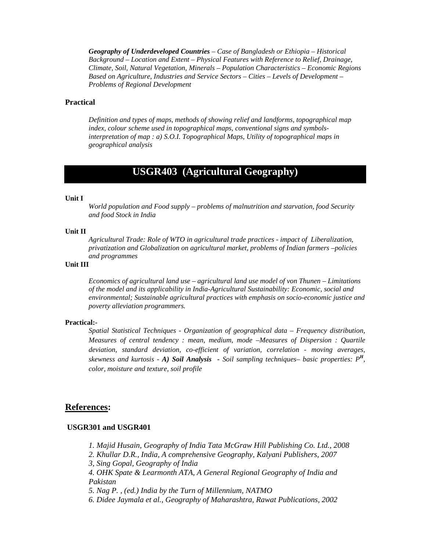*Geography of Underdeveloped Countries – Case of Bangladesh or Ethiopia – Historical Background – Location and Extent – Physical Features with Reference to Relief, Drainage, Climate, Soil, Natural Vegetation, Minerals – Population Characteristics – Economic Regions Based on Agriculture, Industries and Service Sectors – Cities – Levels of Development – Problems of Regional Development* 

## **Practical**

*Definition and types of maps, methods of showing relief and landforms, topographical map index, colour scheme used in topographical maps, conventional signs and symbolsinterpretation of map : a) S.O.I. Topographical Maps, Utility of topographical maps in geographical analysis* 

# **USGR403 (Agricultural Geography)**

#### **Unit I**

*World population and Food supply – problems of malnutrition and starvation, food Security and food Stock in India* 

#### **Unit II**

*Agricultural Trade: Role of WTO in agricultural trade practices - impact of Liberalization, privatization and Globalization on agricultural market, problems of Indian farmers –policies and programmes* 

## **Unit III**

*Economics of agricultural land use – agricultural land use model of von Thunen – Limitations of the model and its applicability in India-Agricultural Sustainability: Economic, social and environmental; Sustainable agricultural practices with emphasis on socio-economic justice and poverty alleviation programmers.* 

#### **Practical:-**

*Spatial Statistical Techniques - Organization of geographical data – Frequency distribution, Measures of central tendency : mean, medium, mode –Measures of Dispersion : Quartile deviation, standard deviation, co-efficient of variation, correlation - moving averages, skewness and kurtosis - A) Soil Analysis - Soil sampling techniques– basic properties: P<sup>H</sup>, color, moisture and texture, soil profile* 

## **References:**

#### **USGR301 and USGR401**

- *1. Majid Husain, Geography of India Tata McGraw Hill Publishing Co. Ltd., 2008*
- *2. Khullar D.R., India, A comprehensive Geography, Kalyani Publishers, 2007*
- *3, Sing Gopal, Geography of India*
- *4. OHK Spate & Learmonth ATA, A General Regional Geography of India and Pakistan*
- *5. Nag P. , (ed.) India by the Turn of Millennium, NATMO*
- *6. Didee Jaymala et al., Geography of Maharashtra, Rawat Publications, 2002*